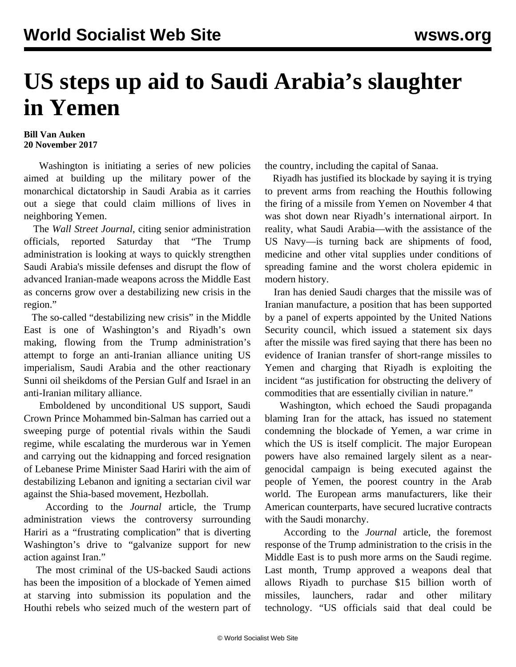## **US steps up aid to Saudi Arabia's slaughter in Yemen**

## **Bill Van Auken 20 November 2017**

 Washington is initiating a series of new policies aimed at building up the military power of the monarchical dictatorship in Saudi Arabia as it carries out a siege that could claim millions of lives in neighboring Yemen.

 The *Wall Street Journal*, citing senior administration officials, reported Saturday that "The Trump administration is looking at ways to quickly strengthen Saudi Arabia's missile defenses and disrupt the flow of advanced Iranian-made weapons across the Middle East as concerns grow over a destabilizing new crisis in the region."

 The so-called "destabilizing new crisis" in the Middle East is one of Washington's and Riyadh's own making, flowing from the Trump administration's attempt to forge an anti-Iranian alliance uniting US imperialism, Saudi Arabia and the other reactionary Sunni oil sheikdoms of the Persian Gulf and Israel in an anti-Iranian military alliance.

 Emboldened by unconditional US support, Saudi Crown Prince Mohammed bin-Salman has carried out a sweeping purge of potential rivals within the Saudi regime, while escalating the murderous war in Yemen and carrying out the kidnapping and forced resignation of Lebanese Prime Minister Saad Hariri with the aim of destabilizing Lebanon and igniting a sectarian civil war against the Shia-based movement, Hezbollah.

 According to the *Journal* article, the Trump administration views the controversy surrounding Hariri as a "frustrating complication" that is diverting Washington's drive to "galvanize support for new action against Iran."

 The most criminal of the US-backed Saudi actions has been the imposition of a blockade of Yemen aimed at starving into submission its population and the Houthi rebels who seized much of the western part of the country, including the capital of Sanaa.

 Riyadh has justified its blockade by saying it is trying to prevent arms from reaching the Houthis following the firing of a missile from Yemen on November 4 that was shot down near Riyadh's international airport. In reality, what Saudi Arabia—with the assistance of the US Navy—is turning back are shipments of food, medicine and other vital supplies under conditions of spreading famine and the worst cholera epidemic in modern history.

 Iran has denied Saudi charges that the missile was of Iranian manufacture, a position that has been supported by a panel of experts appointed by the United Nations Security council, which issued a statement six days after the missile was fired saying that there has been no evidence of Iranian transfer of short-range missiles to Yemen and charging that Riyadh is exploiting the incident "as justification for obstructing the delivery of commodities that are essentially civilian in nature."

 Washington, which echoed the Saudi propaganda blaming Iran for the attack, has issued no statement condemning the blockade of Yemen, a war crime in which the US is itself complicit. The major European powers have also remained largely silent as a neargenocidal campaign is being executed against the people of Yemen, the poorest country in the Arab world. The European arms manufacturers, like their American counterparts, have secured lucrative contracts with the Saudi monarchy.

 According to the *Journal* article, the foremost response of the Trump administration to the crisis in the Middle East is to push more arms on the Saudi regime. Last month, Trump approved a weapons deal that allows Riyadh to purchase \$15 billion worth of missiles, launchers, radar and other military technology. "US officials said that deal could be